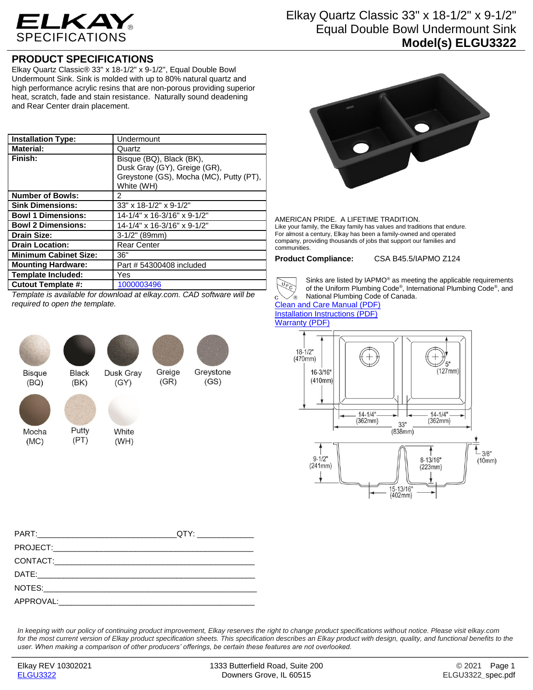

## Elkay Quartz Classic 33" x 18-1/2" x 9-1/2" Equal Double Bowl Undermount Sink **Model(s) ELGU3322**

## **PRODUCT SPECIFICATIONS**

Elkay Quartz Classic® 33" x 18-1/2" x 9-1/2", Equal Double Bowl Undermount Sink. Sink is molded with up to 80% natural quartz and high performance acrylic resins that are non-porous providing superior heat, scratch, fade and stain resistance. Naturally sound deadening and Rear Center drain placement.

| <b>Installation Type:</b>    | Undermount                                                                                                        |
|------------------------------|-------------------------------------------------------------------------------------------------------------------|
| <b>Material:</b>             | Quartz                                                                                                            |
| Finish:                      | Bisque (BQ), Black (BK),<br>Dusk Gray (GY), Greige (GR),<br>Greystone (GS), Mocha (MC), Putty (PT),<br>White (WH) |
| <b>Number of Bowls:</b>      | 2                                                                                                                 |
| <b>Sink Dimensions:</b>      | 33" x 18-1/2" x 9-1/2"                                                                                            |
| <b>Bowl 1 Dimensions:</b>    | 14-1/4" x 16-3/16" x 9-1/2"                                                                                       |
| <b>Bowl 2 Dimensions:</b>    | 14-1/4" x 16-3/16" x 9-1/2"                                                                                       |
| <b>Drain Size:</b>           | $3-1/2"$ (89mm)                                                                                                   |
| <b>Drain Location:</b>       | <b>Rear Center</b>                                                                                                |
| <b>Minimum Cabinet Size:</b> | 36"                                                                                                               |
| <b>Mounting Hardware:</b>    | Part # 54300408 included                                                                                          |
| <b>Template Included:</b>    | Yes                                                                                                               |
| <b>Cutout Template #:</b>    | 1000003496                                                                                                        |

*Template is available for download at elkay.com. CAD software will be required to open the template.*



Mocha

 $(MC)$ 

**Bisque**  $(BQ)$ 



Putty

 $(PT)$ 

Dusk Grav  $(GY)$ 

Greige

 $(GR)$ 

Greystone

 $(GS)$ 



White  $(WH)$ 



AMERICAN PRIDE. A LIFETIME TRADITION. Like your family, the Elkay family has values and traditions that endure. For almost a century, Elkay has been a family-owned and operated company, providing thousands of jobs that support our families and communities.

**Product Compliance:** CSA B45.5/IAPMO Z124



Sinks are listed by IAPMO® as meeting the applicable requirements of the Uniform Plumbing Code® , International Plumbing Code® , and National Plumbing Code of Canada.

[Clean and Care Manual \(PDF\)](http://www.elkayfiles.com/care-cleaning-install-warranty-sheets/1000005387.pdf) [Installation Instructions \(PDF\)](http://www.elkayfiles.com/care-cleaning-install-warranty-sheets/1000005238.pdf) [Warranty](http://www.elkayfiles.com/care-cleaning-install-warranty-sheets/1000005126.pdf) (PDF)



| PART: QTY: |  |
|------------|--|
|            |  |
|            |  |
|            |  |
|            |  |
|            |  |

*In keeping with our policy of continuing product improvement, Elkay reserves the right to change product specifications without notice. Please visit elkay.com for the most current version of Elkay product specification sheets. This specification describes an Elkay product with design, quality, and functional benefits to the user. When making a comparison of other producers' offerings, be certain these features are not overlooked.*